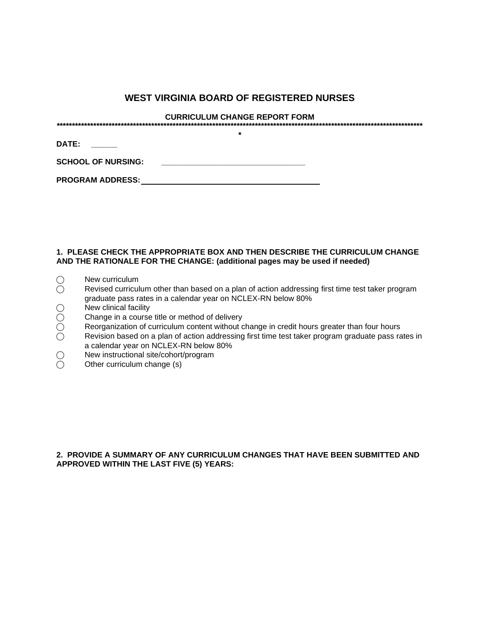## **WEST VIRGINIA BOARD OF REGISTERED NURSES**

| <b>CURRICULUM CHANGE REPORT FORM</b> |  |  |  |  |
|--------------------------------------|--|--|--|--|
|                                      |  |  |  |  |

|                           | * |
|---------------------------|---|
| DATE:                     |   |
| <b>SCHOOL OF NURSING:</b> |   |
| <b>PROGRAM ADDRESS:</b>   |   |

## **1. PLEASE CHECK THE APPROPRIATE BOX AND THEN DESCRIBE THE CURRICULUM CHANGE AND THE RATIONALE FOR THE CHANGE: (additional pages may be used if needed)**

- 
- ◯ New curriculum<br>◯ Revised curricul Revised curriculum other than based on a plan of action addressing first time test taker program graduate pass rates in a calendar year on NCLEX-RN below 80%
- 
- ⃝ Change in a course title or method of delivery
- ◯ New clinical facility<br>
◯ Change in a course<br>
◯ Reorganization of c<br>
Q Revision based on Reorganization of curriculum content without change in credit hours greater than four hours
- Revision based on a plan of action addressing first time test taker program graduate pass rates in a calendar year on NCLEX-RN below 80%
- $\bigcirc$  New instructional site/cohort/program<br>  $\bigcirc$  Other curriculum change (s)
- Other curriculum change (s)

**2. PROVIDE A SUMMARY OF ANY CURRICULUM CHANGES THAT HAVE BEEN SUBMITTED AND APPROVED WITHIN THE LAST FIVE (5) YEARS:**